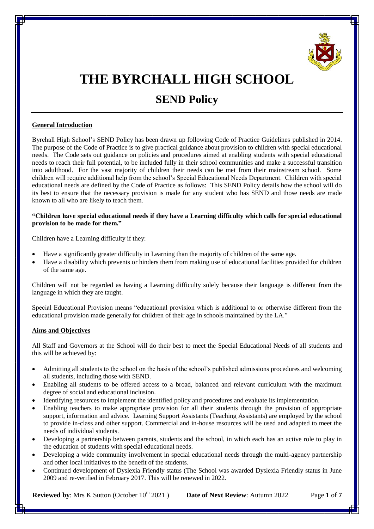

# **THE BYRCHALL HIGH SCHOOL**

# **SEND Policy**

# **General Introduction**

Byrchall High School's SEND Policy has been drawn up following Code of Practice Guidelines published in 2014. The purpose of the Code of Practice is to give practical guidance about provision to children with special educational needs. The Code sets out guidance on policies and procedures aimed at enabling students with special educational needs to reach their full potential, to be included fully in their school communities and make a successful transition into adulthood. For the vast majority of children their needs can be met from their mainstream school. Some children will require additional help from the school's Special Educational Needs Department. Children with special educational needs are defined by the Code of Practice as follows: This SEND Policy details how the school will do its best to ensure that the necessary provision is made for any student who has SEND and those needs are made known to all who are likely to teach them.

#### **"Children have special educational needs if they have a Learning difficulty which calls for special educational provision to be made for them."**

Children have a Learning difficulty if they:

- Have a significantly greater difficulty in Learning than the majority of children of the same age.
- Have a disability which prevents or hinders them from making use of educational facilities provided for children of the same age.

Children will not be regarded as having a Learning difficulty solely because their language is different from the language in which they are taught.

Special Educational Provision means "educational provision which is additional to or otherwise different from the educational provision made generally for children of their age in schools maintained by the LA."

# **Aims and Objectives**

All Staff and Governors at the School will do their best to meet the Special Educational Needs of all students and this will be achieved by:

- Admitting all students to the school on the basis of the school's published admissions procedures and welcoming all students, including those with SEND.
- Enabling all students to be offered access to a broad, balanced and relevant curriculum with the maximum degree of social and educational inclusion.
- Identifying resources to implement the identified policy and procedures and evaluate its implementation.
- Enabling teachers to make appropriate provision for all their students through the provision of appropriate support, information and advice. Learning Support Assistants (Teaching Assistants) are employed by the school to provide in-class and other support. Commercial and in-house resources will be used and adapted to meet the needs of individual students.
- Developing a partnership between parents, students and the school, in which each has an active role to play in the education of students with special educational needs.
- Developing a wide community involvement in special educational needs through the multi-agency partnership and other local initiatives to the benefit of the students.
- Continued development of Dyslexia Friendly status (The School was awarded Dyslexia Friendly status in June 2009 and re-verified in February 2017. This will be renewed in 2022.

**Reviewed by**: Mrs K Sutton (October 10<sup>th</sup> 2021) **Date of Next Review**: Autumn 2022 Page 1 of 7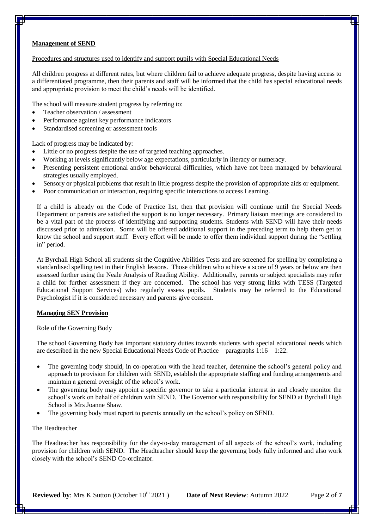#### **Management of SEND**

#### Procedures and structures used to identify and support pupils with Special Educational Needs

All children progress at different rates, but where children fail to achieve adequate progress, despite having access to a differentiated programme, then their parents and staff will be informed that the child has special educational needs and appropriate provision to meet the child's needs will be identified.

The school will measure student progress by referring to:

- Teacher observation / assessment
- Performance against key performance indicators
- Standardised screening or assessment tools

Lack of progress may be indicated by:

- Little or no progress despite the use of targeted teaching approaches.
- Working at levels significantly below age expectations, particularly in literacy or numeracy.
- Presenting persistent emotional and/or behavioural difficulties, which have not been managed by behavioural strategies usually employed.
- Sensory or physical problems that result in little progress despite the provision of appropriate aids or equipment.
- Poor communication or interaction, requiring specific interactions to access Learning.

If a child is already on the Code of Practice list, then that provision will continue until the Special Needs Department or parents are satisfied the support is no longer necessary. Primary liaison meetings are considered to be a vital part of the process of identifying and supporting students. Students with SEND will have their needs discussed prior to admission. Some will be offered additional support in the preceding term to help them get to know the school and support staff. Every effort will be made to offer them individual support during the "settling in" period.

At Byrchall High School all students sit the Cognitive Abilities Tests and are screened for spelling by completing a standardised spelling test in their English lessons. Those children who achieve a score of 9 years or below are then assessed further using the Neale Analysis of Reading Ability. Additionally, parents or subject specialists may refer a child for further assessment if they are concerned. The school has very strong links with TESS (Targeted Educational Support Services) who regularly assess pupils. Students may be referred to the Educational Psychologist if it is considered necessary and parents give consent.

#### **Managing SEN Provision**

#### Role of the Governing Body

The school Governing Body has important statutory duties towards students with special educational needs which are described in the new Special Educational Needs Code of Practice – paragraphs 1:16 – 1:22.

- The governing body should, in co-operation with the head teacher, determine the school's general policy and approach to provision for children with SEND, establish the appropriate staffing and funding arrangements and maintain a general oversight of the school's work.
- The governing body may appoint a specific governor to take a particular interest in and closely monitor the school's work on behalf of children with SEND. The Governor with responsibility for SEND at Byrchall High School is Mrs Joanne Shaw.
- The governing body must report to parents annually on the school's policy on SEND.

#### The Headteacher

The Headteacher has responsibility for the day-to-day management of all aspects of the school's work, including provision for children with SEND. The Headteacher should keep the governing body fully informed and also work closely with the school's SEND Co-ordinator.

**Reviewed by**: Mrs K Sutton (October 10<sup>th</sup> 2021) **Date of Next Review**: Autumn 2022 Page 2 of 7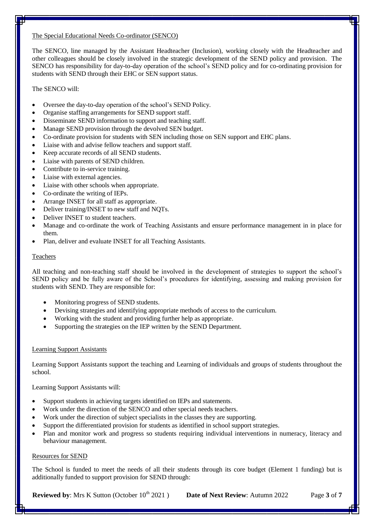#### The Special Educational Needs Co-ordinator (SENCO)

The SENCO, line managed by the Assistant Headteacher (Inclusion), working closely with the Headteacher and other colleagues should be closely involved in the strategic development of the SEND policy and provision. The SENCO has responsibility for day-to-day operation of the school's SEND policy and for co-ordinating provision for students with SEND through their EHC or SEN support status.

### The SENCO will.

- Oversee the day-to-day operation of the school's SEND Policy.
- Organise staffing arrangements for SEND support staff.
- Disseminate SEND information to support and teaching staff.
- Manage SEND provision through the devolved SEN budget.
- Co-ordinate provision for students with SEN including those on SEN support and EHC plans.
- Liaise with and advise fellow teachers and support staff.
- Keep accurate records of all SEND students.
- Liaise with parents of SEND children.
- Contribute to in-service training.
- Liaise with external agencies.
- Liaise with other schools when appropriate.
- Co-ordinate the writing of IEPs.
- Arrange INSET for all staff as appropriate.
- Deliver training/INSET to new staff and NQTs.
- Deliver INSET to student teachers.
- Manage and co-ordinate the work of Teaching Assistants and ensure performance management in in place for them.
- Plan, deliver and evaluate INSET for all Teaching Assistants.

#### **Teachers**

All teaching and non-teaching staff should be involved in the development of strategies to support the school's SEND policy and be fully aware of the School's procedures for identifying, assessing and making provision for students with SEND. They are responsible for:

- Monitoring progress of SEND students.
- Devising strategies and identifying appropriate methods of access to the curriculum.
- Working with the student and providing further help as appropriate.
- Supporting the strategies on the IEP written by the SEND Department.

#### Learning Support Assistants

Learning Support Assistants support the teaching and Learning of individuals and groups of students throughout the school.

Learning Support Assistants will:

- Support students in achieving targets identified on IEPs and statements.
- Work under the direction of the SENCO and other special needs teachers.
- Work under the direction of subject specialists in the classes they are supporting.
- Support the differentiated provision for students as identified in school support strategies.
- Plan and monitor work and progress so students requiring individual interventions in numeracy, literacy and behaviour management.

#### Resources for SEND

The School is funded to meet the needs of all their students through its core budget (Element 1 funding) but is additionally funded to support provision for SEND through:

**Reviewed by**: Mrs K Sutton (October 10<sup>th</sup> 2021) **Date of Next Review**: Autumn 2022 Page 3 of 7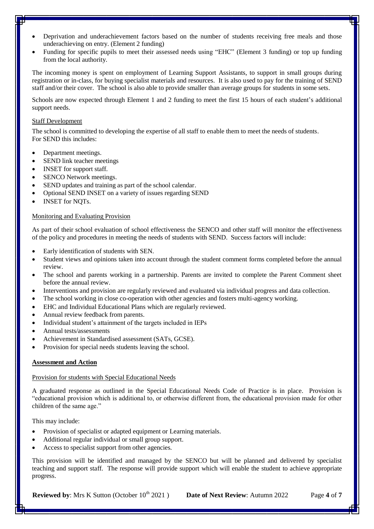- Deprivation and underachievement factors based on the number of students receiving free meals and those underachieving on entry. (Element 2 funding)
- Funding for specific pupils to meet their assessed needs using "EHC" (Element 3 funding) or top up funding from the local authority.

The incoming money is spent on employment of Learning Support Assistants, to support in small groups during registration or in-class, for buying specialist materials and resources. It is also used to pay for the training of SEND staff and/or their cover. The school is also able to provide smaller than average groups for students in some sets.

Schools are now expected through Element 1 and 2 funding to meet the first 15 hours of each student's additional support needs.

#### Staff Development

The school is committed to developing the expertise of all staff to enable them to meet the needs of students. For SEND this includes:

- Department meetings.
- SEND link teacher meetings
- INSET for support staff.
- SENCO Network meetings.
- SEND updates and training as part of the school calendar.
- Optional SEND INSET on a variety of issues regarding SEND
- INSET for NQTs.

#### Monitoring and Evaluating Provision

As part of their school evaluation of school effectiveness the SENCO and other staff will monitor the effectiveness of the policy and procedures in meeting the needs of students with SEND. Success factors will include:

- Early identification of students with SEN.
- Student views and opinions taken into account through the student comment forms completed before the annual review.
- The school and parents working in a partnership. Parents are invited to complete the Parent Comment sheet before the annual review.
- Interventions and provision are regularly reviewed and evaluated via individual progress and data collection.
- The school working in close co-operation with other agencies and fosters multi-agency working.
- EHC and Individual Educational Plans which are regularly reviewed.
- Annual review feedback from parents.
- Individual student's attainment of the targets included in IEPs
- Annual tests/assessments
- Achievement in Standardised assessment (SATs, GCSE).
- Provision for special needs students leaving the school.

#### **Assessment and Action**

#### Provision for students with Special Educational Needs

A graduated response as outlined in the Special Educational Needs Code of Practice is in place. Provision is "educational provision which is additional to, or otherwise different from, the educational provision made for other children of the same age."

This may include:

- Provision of specialist or adapted equipment or Learning materials.
- Additional regular individual or small group support.
- Access to specialist support from other agencies.

This provision will be identified and managed by the SENCO but will be planned and delivered by specialist teaching and support staff. The response will provide support which will enable the student to achieve appropriate progress.

**Reviewed by**: Mrs K Sutton (October 10<sup>th</sup> 2021) **Date of Next Review**: Autumn 2022 Page 4 of 7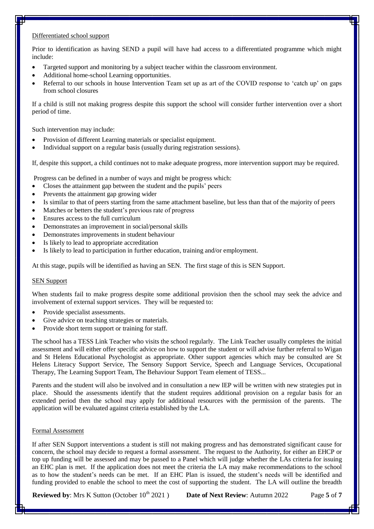### Differentiated school support

Prior to identification as having SEND a pupil will have had access to a differentiated programme which might include:

- Targeted support and monitoring by a subject teacher within the classroom environment.
- Additional home-school Learning opportunities.
- Referral to our schools in house Intervention Team set up as art of the COVID response to 'catch up' on gaps from school closures

If a child is still not making progress despite this support the school will consider further intervention over a short period of time.

Such intervention may include:

- Provision of different Learning materials or specialist equipment.
- Individual support on a regular basis (usually during registration sessions).

If, despite this support, a child continues not to make adequate progress, more intervention support may be required.

Progress can be defined in a number of ways and might be progress which:

- Closes the attainment gap between the student and the pupils' peers
- Prevents the attainment gap growing wider
- Is similar to that of peers starting from the same attachment baseline, but less than that of the majority of peers
- Matches or betters the student's previous rate of progress
- Ensures access to the full curriculum
- Demonstrates an improvement in social/personal skills
- Demonstrates improvements in student behaviour
- Is likely to lead to appropriate accreditation
- Is likely to lead to participation in further education, training and/or employment.

At this stage, pupils will be identified as having an SEN. The first stage of this is SEN Support.

#### SEN Support

When students fail to make progress despite some additional provision then the school may seek the advice and involvement of external support services. They will be requested to:

- Provide specialist assessments.
- Give advice on teaching strategies or materials.
- Provide short term support or training for staff.

The school has a TESS Link Teacher who visits the school regularly. The Link Teacher usually completes the initial assessment and will either offer specific advice on how to support the student or will advise further referral to Wigan and St Helens Educational Psychologist as appropriate. Other support agencies which may be consulted are St Helens Literacy Support Service, The Sensory Support Service, Speech and Language Services, Occupational Therapy, The Learning Support Team, The Behaviour Support Team element of TESS...

Parents and the student will also be involved and in consultation a new IEP will be written with new strategies put in place. Should the assessments identify that the student requires additional provision on a regular basis for an extended period then the school may apply for additional resources with the permission of the parents. The application will be evaluated against criteria established by the LA.

#### Formal Assessment

If after SEN Support interventions a student is still not making progress and has demonstrated significant cause for concern, the school may decide to request a formal assessment. The request to the Authority, for either an EHCP or top up funding will be assessed and may be passed to a Panel which will judge whether the LAs criteria for issuing an EHC plan is met. If the application does not meet the criteria the LA may make recommendations to the school as to how the student's needs can be met. If an EHC Plan is issued, the student's needs will be identified and funding provided to enable the school to meet the cost of supporting the student. The LA will outline the breadth

**Reviewed by**: Mrs K Sutton (October 10<sup>th</sup> 2021) **Date of Next Review**: Autumn 2022 Page 5 of 7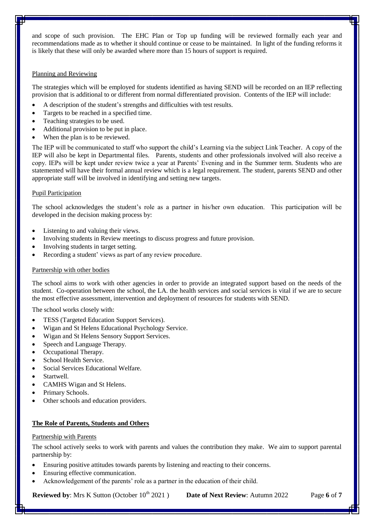and scope of such provision. The EHC Plan or Top up funding will be reviewed formally each year and recommendations made as to whether it should continue or cease to be maintained. In light of the funding reforms it is likely that these will only be awarded where more than 15 hours of support is required.

#### Planning and Reviewing

The strategies which will be employed for students identified as having SEND will be recorded on an IEP reflecting provision that is additional to or different from normal differentiated provision. Contents of the IEP will include:

- A description of the student's strengths and difficulties with test results.
- Targets to be reached in a specified time.
- Teaching strategies to be used.
- Additional provision to be put in place.
- When the plan is to be reviewed.

The IEP will be communicated to staff who support the child's Learning via the subject Link Teacher. A copy of the IEP will also be kept in Departmental files. Parents, students and other professionals involved will also receive a copy. IEPs will be kept under review twice a year at Parents' Evening and in the Summer term. Students who are statemented will have their formal annual review which is a legal requirement. The student, parents SEND and other appropriate staff will be involved in identifying and setting new targets.

#### Pupil Participation

The school acknowledges the student's role as a partner in his/her own education. This participation will be developed in the decision making process by:

- Listening to and valuing their views.
- Involving students in Review meetings to discuss progress and future provision.
- Involving students in target setting.
- Recording a student' views as part of any review procedure.

#### Partnership with other bodies

The school aims to work with other agencies in order to provide an integrated support based on the needs of the student. Co-operation between the school, the LA. the health services and social services is vital if we are to secure the most effective assessment, intervention and deployment of resources for students with SEND.

The school works closely with:

- TESS (Targeted Education Support Services).
- Wigan and St Helens Educational Psychology Service.
- Wigan and St Helens Sensory Support Services.
- Speech and Language Therapy.
- Occupational Therapy.
- School Health Service.
- Social Services Educational Welfare.
- Startwell.
- CAMHS Wigan and St Helens.
- Primary Schools.
- Other schools and education providers.

# **The Role of Parents, Students and Others**

#### Partnership with Parents

The school actively seeks to work with parents and values the contribution they make. We aim to support parental partnership by:

- Ensuring positive attitudes towards parents by listening and reacting to their concerns.
- Ensuring effective communication.
- Acknowledgement of the parents' role as a partner in the education of their child.

**Reviewed by**: Mrs K Sutton (October 10<sup>th</sup> 2021) **Date of Next Review**: Autumn 2022 Page 6 of 7